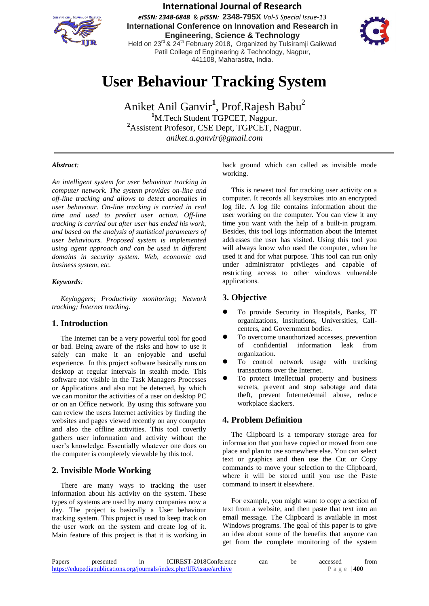

**International Journal of Research** *eISSN: 2348-6848* & *pISSN:* **2348-795X** *Vol-5 Special Issue-13* **International Conference on Innovation and Research in Engineering, Science & Technology** Held on 23<sup>rd</sup> & 24<sup>th</sup> February 2018, Organized by Tulsiramji Gaikwad

> Patil College of Engineering & Technology, Nagpur, 441108, Maharastra, India.

# **User Behaviour Tracking System**

Aniket Anil Ganvir<sup>1</sup>, Prof.Rajesh Babu<sup>2</sup> **<sup>1</sup>**M.Tech Student TGPCET, Nagpur. **<sup>2</sup>**Assistent Profesor, CSE Dept, TGPCET, Nagpur. *aniket.a.ganvir@gmail.com*

### *Abstract:*

*An intelligent system for user behaviour tracking in computer network. The system provides on-line and off-line tracking and allows to detect anomalies in user behaviour. On-line tracking is carried in real time and used to predict user action. Off-line tracking is carried out after user has ended his work, and based on the analysis of statistical parameters of user behaviours. Proposed system is implemented using agent approach and can be used in different domains in security system. Web, economic and business system, etc.*

#### *Keywords:*

*Keyloggers; Productivity monitoring; Network tracking; Internet tracking.*

### **1. Introduction**

The Internet can be a very powerful tool for good or bad. Being aware of the risks and how to use it safely can make it an enjoyable and useful experience. In this project software basically runs on desktop at regular intervals in stealth mode. This software not visible in the Task Managers Processes or Applications and also not be detected, by which we can monitor the activities of a user on desktop PC or on an Office network. By using this software you can review the users Internet activities by finding the websites and pages viewed recently on any computer and also the offline activities. This tool covertly gathers user information and activity without the user's knowledge. Essentially whatever one does on the computer is completely viewable by this tool.

### **2. Invisible Mode Working**

There are many ways to tracking the user information about his activity on the system. These types of systems are used by many companies now a day. The project is basically a User behaviour tracking system. This project is used to keep track on the user work on the system and create log of it. Main feature of this project is that it is working in

back ground which can called as invisible mode working.

This is newest tool for tracking user activity on a computer. It records all keystrokes into an encrypted log file. A log file contains information about the user working on the computer. You can view it any time you want with the help of a built-in program. Besides, this tool logs information about the Internet addresses the user has visited. Using this tool you will always know who used the computer, when he used it and for what purpose. This tool can run only under administrator privileges and capable of restricting access to other windows vulnerable applications.

### **3. Objective**

- To provide Security in Hospitals, Banks, IT organizations, Institutions, Universities, Callcenters, and Government bodies.
- To overcome unauthorized accesses, prevention of confidential information leak from organization.
- To control network usage with tracking transactions over the Internet.
- To protect intellectual property and business secrets, prevent and stop sabotage and data theft, prevent Internet/email abuse, reduce workplace slackers.

### **4. Problem Definition**

The Clipboard is a temporary storage area for information that you have copied or moved from one place and plan to use somewhere else. You can select text or graphics and then use the Cut or Copy commands to move your selection to the Clipboard, where it will be stored until you use the Paste command to insert it elsewhere.

For example, you might want to copy a section of text from a website, and then paste that text into an email message. The Clipboard is available in most Windows programs. The goal of this paper is to give an idea about some of the benefits that anyone can get from the complete monitoring of the system

| Papers                                                                | presented |  | ICIREST-2018Conference | can | be | accessed    | trom |
|-----------------------------------------------------------------------|-----------|--|------------------------|-----|----|-------------|------|
| https://edupediapublications.org/journals/index.php/IJR/issue/archive |           |  |                        |     |    | Page $ 400$ |      |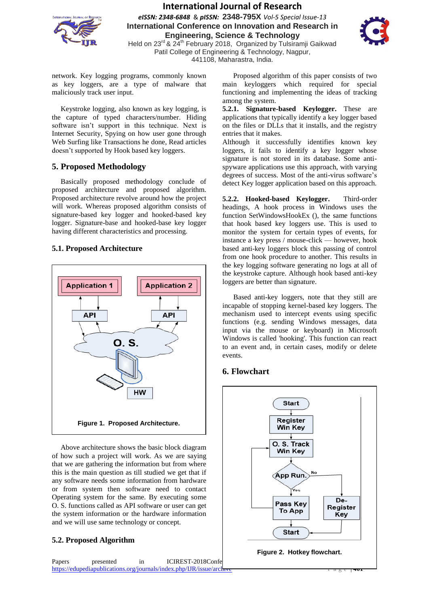

## **International Journal of Research**

*eISSN: 2348-6848* & *pISSN:* **2348-795X** *Vol-5 Special Issue-13* **International Conference on Innovation and Research in Engineering, Science & Technology**



Held on 23<sup>rd</sup> & 24<sup>th</sup> February 2018, Organized by Tulsiramji Gaikwad Patil College of Engineering & Technology, Nagpur, 441108, Maharastra, India.

network. Key logging programs, commonly known as key loggers, are a type of malware that maliciously track user input.

Keystroke logging, also known as key logging, is the capture of typed characters/number. Hiding software isn't support in this technique. Next is Internet Security, Spying on how user gone through Web Surfing like Transactions he done, Read articles doesn't supported by Hook based key loggers.

### **5. Proposed Methodology**

Basically proposed methodology conclude of proposed architecture and proposed algorithm. Proposed architecture revolve around how the project will work. Whereas proposed algorithm consists of signature-based key logger and hooked-based key logger. Signature-base and hooked-base key logger having different characteristics and processing.

### **5.1. Proposed Architecture**



Above architecture shows the basic block diagram of how such a project will work. As we are saying that we are gathering the information but from where this is the main question as till studied we get that if any software needs some information from hardware or from system then software need to contact Operating system for the same. By executing some O. S. functions called as API software or user can get the system information or the hardware information and we will use same technology or concept.

### **5.2. Proposed Algorithm**



 Proposed algorithm of this paper consists of two main keyloggers which required for special functioning and implementing the ideas of tracking among the system.

**5.2.1. Signature-based Keylogger.** These are applications that typically identify a key logger based on the files or DLLs that it installs, and the registry entries that it makes.

Although it successfully identifies known key loggers, it fails to identify a key logger whose signature is not stored in its database. Some antispyware applications use this approach, with varying degrees of success. Most of the anti-virus software's detect Key logger application based on this approach.

**5.2.2. Hooked-based Keylogger.** Third-order headings, A hook process in Windows uses the function SetWindowsHookEx (), the same functions that hook based key loggers use. This is used to monitor the system for certain types of events, for instance a key press / mouse-click — however, hook based anti-key loggers block this passing of control from one hook procedure to another. This results in the key logging software generating no logs at all of the keystroke capture. Although hook based anti-key loggers are better than signature.

 Based anti-key loggers, note that they still are incapable of stopping kernel-based key loggers. The mechanism used to intercept events using specific functions (e.g. sending Windows messages, data input via the mouse or keyboard) in Microsoft Windows is called 'hooking'. This function can react to an event and, in certain cases, modify or delete events.

## **6. Flowchart**



Papers presented in ICIREST-2018Confe https://edupediapublications.org/journals/index.php/IJR/issue/archive